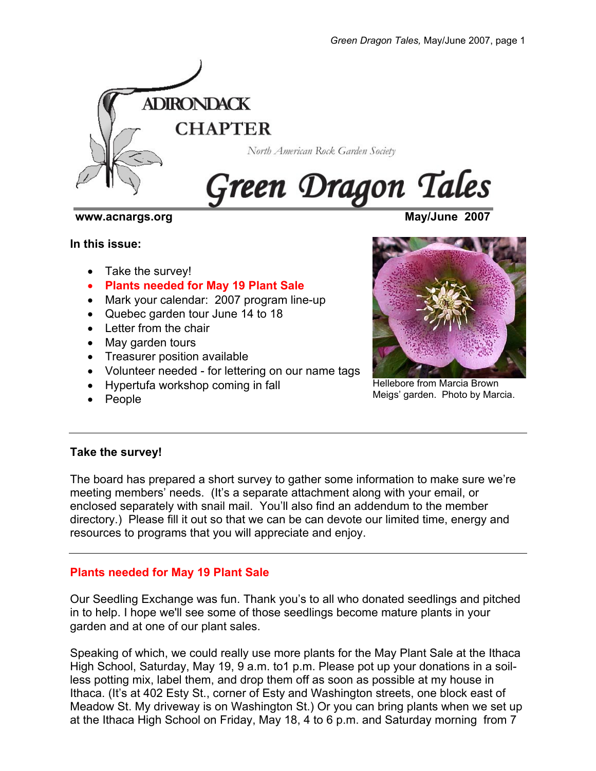

North American Rock Garden Society

# Green Dragon Tales

# www.acnargs.org May/June 2007

**In this issue:** 

- Take the survey!
- **Plants needed for May 19 Plant Sale**
- Mark your calendar: 2007 program line-up
- Quebec garden tour June 14 to 18
- Letter from the chair
- May garden tours
- Treasurer position available
- Volunteer needed for lettering on our name tags
- Hypertufa workshop coming in fall
- People



Hellebore from Marcia Brown Meigs' garden. Photo by Marcia.

# **Take the survey!**

The board has prepared a short survey to gather some information to make sure we're meeting members' needs. (It's a separate attachment along with your email, or enclosed separately with snail mail. You'll also find an addendum to the member directory.) Please fill it out so that we can be can devote our limited time, energy and resources to programs that you will appreciate and enjoy.

# **Plants needed for May 19 Plant Sale**

Our Seedling Exchange was fun. Thank you's to all who donated seedlings and pitched in to help. I hope we'll see some of those seedlings become mature plants in your garden and at one of our plant sales.

Speaking of which, we could really use more plants for the May Plant Sale at the Ithaca High School, Saturday, May 19, 9 a.m. to1 p.m. Please pot up your donations in a soilless potting mix, label them, and drop them off as soon as possible at my house in Ithaca. (It's at 402 Esty St., corner of Esty and Washington streets, one block east of Meadow St. My driveway is on Washington St.) Or you can bring plants when we set up at the Ithaca High School on Friday, May 18, 4 to 6 p.m. and Saturday morning from 7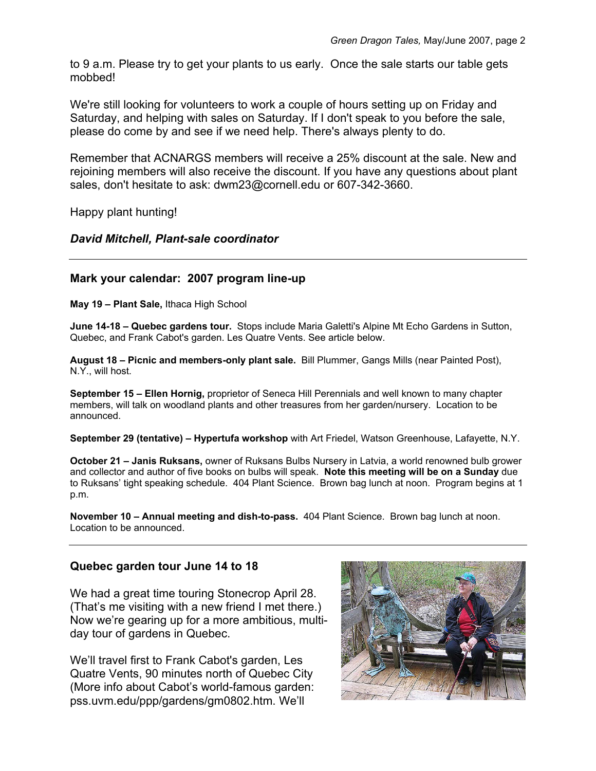to 9 a.m. Please try to get your plants to us early. Once the sale starts our table gets mobbed!

We're still looking for volunteers to work a couple of hours setting up on Friday and Saturday, and helping with sales on Saturday. If I don't speak to you before the sale, please do come by and see if we need help. There's always plenty to do.

Remember that ACNARGS members will receive a 25% discount at the sale. New and rejoining members will also receive the discount. If you have any questions about plant sales, don't hesitate to ask: dwm23@cornell.edu or 607-342-3660.

Happy plant hunting!

# *David Mitchell, Plant-sale coordinator*

# **Mark your calendar: 2007 program line-up**

**May 19 – Plant Sale,** Ithaca High School

**June 14-18 – Quebec gardens tour.** Stops include Maria Galetti's Alpine Mt Echo Gardens in Sutton, Quebec, and Frank Cabot's garden. Les Quatre Vents. See article below.

**August 18 – Picnic and members-only plant sale.** Bill Plummer, Gangs Mills (near Painted Post), N.Y., will host.

**September 15 – Ellen Hornig,** proprietor of Seneca Hill Perennials and well known to many chapter members, will talk on woodland plants and other treasures from her garden/nursery. Location to be announced.

**September 29 (tentative) – Hypertufa workshop** with Art Friedel, Watson Greenhouse, Lafayette, N.Y.

**October 21 – Janis Ruksans,** owner of Ruksans Bulbs Nursery in Latvia, a world renowned bulb grower and collector and author of five books on bulbs will speak. **Note this meeting will be on a Sunday** due to Ruksans' tight speaking schedule. 404 Plant Science. Brown bag lunch at noon. Program begins at 1 p.m.

**November 10 – Annual meeting and dish-to-pass.** 404 Plant Science. Brown bag lunch at noon. Location to be announced.

# **Quebec garden tour June 14 to 18**

We had a great time touring Stonecrop April 28. (That's me visiting with a new friend I met there.) Now we're gearing up for a more ambitious, multiday tour of gardens in Quebec.

We'll travel first to Frank Cabot's garden, Les Quatre Vents, 90 minutes north of Quebec City (More info about Cabot's world-famous garden: pss.uvm.edu/ppp/gardens/gm0802.htm. We'll

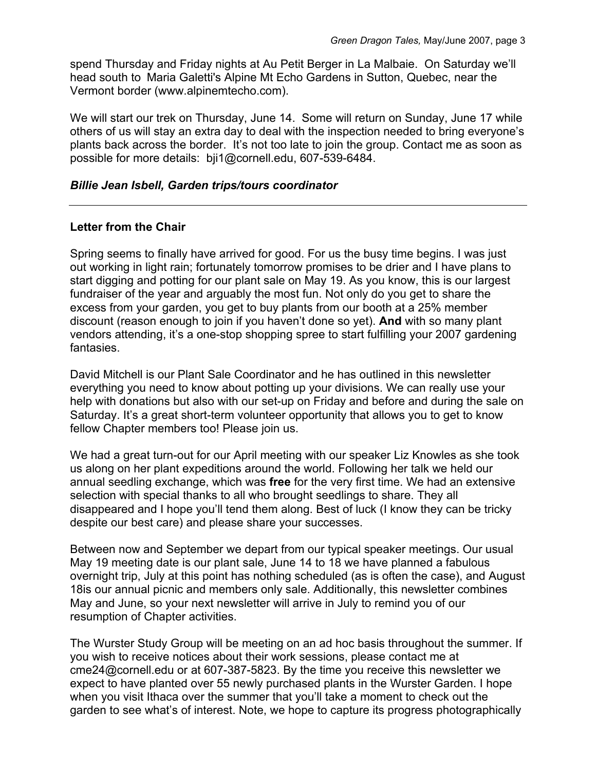spend Thursday and Friday nights at Au Petit Berger in La Malbaie. On Saturday we'll head south to Maria Galetti's Alpine Mt Echo Gardens in Sutton, Quebec, near the Vermont border (www.alpinemtecho.com).

We will start our trek on Thursday, June 14. Some will return on Sunday, June 17 while others of us will stay an extra day to deal with the inspection needed to bring everyone's plants back across the border. It's not too late to join the group. Contact me as soon as possible for more details: bji1@cornell.edu, 607-539-6484.

## *Billie Jean Isbell, Garden trips/tours coordinator*

## **Letter from the Chair**

Spring seems to finally have arrived for good. For us the busy time begins. I was just out working in light rain; fortunately tomorrow promises to be drier and I have plans to start digging and potting for our plant sale on May 19. As you know, this is our largest fundraiser of the year and arguably the most fun. Not only do you get to share the excess from your garden, you get to buy plants from our booth at a 25% member discount (reason enough to join if you haven't done so yet). **And** with so many plant vendors attending, it's a one-stop shopping spree to start fulfilling your 2007 gardening fantasies.

David Mitchell is our Plant Sale Coordinator and he has outlined in this newsletter everything you need to know about potting up your divisions. We can really use your help with donations but also with our set-up on Friday and before and during the sale on Saturday. It's a great short-term volunteer opportunity that allows you to get to know fellow Chapter members too! Please join us.

We had a great turn-out for our April meeting with our speaker Liz Knowles as she took us along on her plant expeditions around the world. Following her talk we held our annual seedling exchange, which was **free** for the very first time. We had an extensive selection with special thanks to all who brought seedlings to share. They all disappeared and I hope you'll tend them along. Best of luck (I know they can be tricky despite our best care) and please share your successes.

Between now and September we depart from our typical speaker meetings. Our usual May 19 meeting date is our plant sale, June 14 to 18 we have planned a fabulous overnight trip, July at this point has nothing scheduled (as is often the case), and August 18is our annual picnic and members only sale. Additionally, this newsletter combines May and June, so your next newsletter will arrive in July to remind you of our resumption of Chapter activities.

The Wurster Study Group will be meeting on an ad hoc basis throughout the summer. If you wish to receive notices about their work sessions, please contact me at cme24@cornell.edu or at 607-387-5823. By the time you receive this newsletter we expect to have planted over 55 newly purchased plants in the Wurster Garden. I hope when you visit Ithaca over the summer that you'll take a moment to check out the garden to see what's of interest. Note, we hope to capture its progress photographically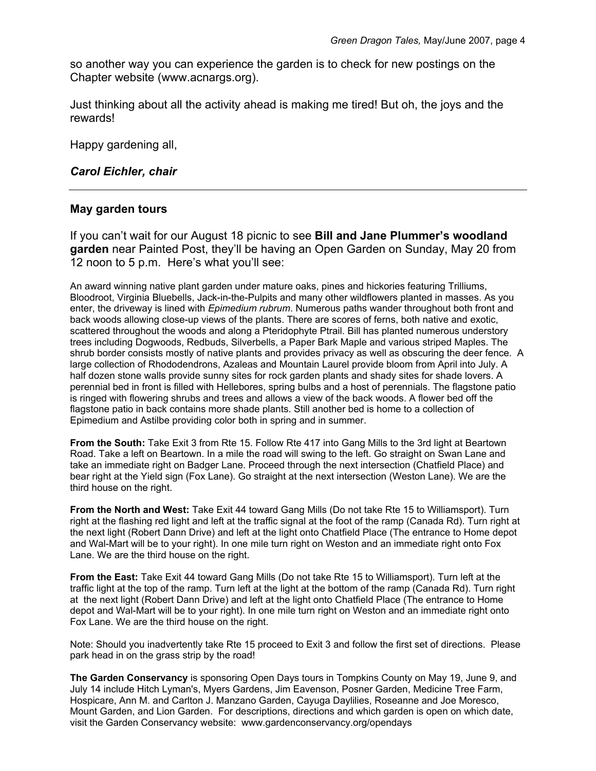so another way you can experience the garden is to check for new postings on the Chapter website (www.acnargs.org).

Just thinking about all the activity ahead is making me tired! But oh, the joys and the rewards!

Happy gardening all,

## *Carol Eichler, chair*

## **May garden tours**

If you can't wait for our August 18 picnic to see **Bill and Jane Plummer's woodland garden** near Painted Post, they'll be having an Open Garden on Sunday, May 20 from 12 noon to 5 p.m. Here's what you'll see:

An award winning native plant garden under mature oaks, pines and hickories featuring Trilliums, Bloodroot, Virginia Bluebells, Jack-in-the-Pulpits and many other wildflowers planted in masses. As you enter, the driveway is lined with *Epimedium rubrum*. Numerous paths wander throughout both front and back woods allowing close-up views of the plants. There are scores of ferns, both native and exotic, scattered throughout the woods and along a Pteridophyte Ptrail. Bill has planted numerous understory trees including Dogwoods, Redbuds, Silverbells, a Paper Bark Maple and various striped Maples. The shrub border consists mostly of native plants and provides privacy as well as obscuring the deer fence. A large collection of Rhododendrons, Azaleas and Mountain Laurel provide bloom from April into July. A half dozen stone walls provide sunny sites for rock garden plants and shady sites for shade lovers. A perennial bed in front is filled with Hellebores, spring bulbs and a host of perennials. The flagstone patio is ringed with flowering shrubs and trees and allows a view of the back woods. A flower bed off the flagstone patio in back contains more shade plants. Still another bed is home to a collection of Epimedium and Astilbe providing color both in spring and in summer.

**From the South:** Take Exit 3 from Rte 15. Follow Rte 417 into Gang Mills to the 3rd light at Beartown Road. Take a left on Beartown. In a mile the road will swing to the left. Go straight on Swan Lane and take an immediate right on Badger Lane. Proceed through the next intersection (Chatfield Place) and bear right at the Yield sign (Fox Lane). Go straight at the next intersection (Weston Lane). We are the third house on the right.

**From the North and West:** Take Exit 44 toward Gang Mills (Do not take Rte 15 to Williamsport). Turn right at the flashing red light and left at the traffic signal at the foot of the ramp (Canada Rd). Turn right at the next light (Robert Dann Drive) and left at the light onto Chatfield Place (The entrance to Home depot and Wal-Mart will be to your right). In one mile turn right on Weston and an immediate right onto Fox Lane. We are the third house on the right.

**From the East:** Take Exit 44 toward Gang Mills (Do not take Rte 15 to Williamsport). Turn left at the traffic light at the top of the ramp. Turn left at the light at the bottom of the ramp (Canada Rd). Turn right at the next light (Robert Dann Drive) and left at the light onto Chatfield Place (The entrance to Home depot and Wal-Mart will be to your right). In one mile turn right on Weston and an immediate right onto Fox Lane. We are the third house on the right.

Note: Should you inadvertently take Rte 15 proceed to Exit 3 and follow the first set of directions. Please park head in on the grass strip by the road!

**The Garden Conservancy** is sponsoring Open Days tours in Tompkins County on May 19, June 9, and July 14 include Hitch Lyman's, Myers Gardens, Jim Eavenson, Posner Garden, Medicine Tree Farm, Hospicare, Ann M. and Carlton J. Manzano Garden, Cayuga Daylilies, Roseanne and Joe Moresco, Mount Garden, and Lion Garden. For descriptions, directions and which garden is open on which date, visit the Garden Conservancy website: www.gardenconservancy.org/opendays